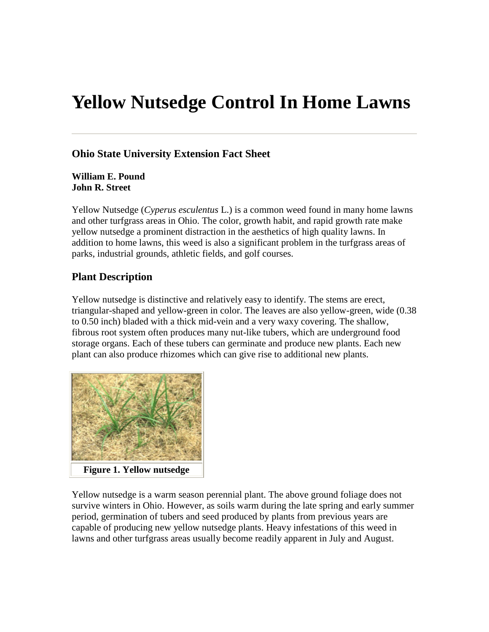# **Yellow Nutsedge Control In Home Lawns**

# **Ohio State University Extension Fact Sheet**

**William E. Pound John R. Street** 

Yellow Nutsedge (*Cyperus esculentus* L.) is a common weed found in many home lawns and other turfgrass areas in Ohio. The color, growth habit, and rapid growth rate make yellow nutsedge a prominent distraction in the aesthetics of high quality lawns. In addition to home lawns, this weed is also a significant problem in the turfgrass areas of parks, industrial grounds, athletic fields, and golf courses.

### **Plant Description**

Yellow nutsedge is distinctive and relatively easy to identify. The stems are erect, triangular-shaped and yellow-green in color. The leaves are also yellow-green, wide (0.38 to 0.50 inch) bladed with a thick mid-vein and a very waxy covering. The shallow, fibrous root system often produces many nut-like tubers, which are underground food storage organs. Each of these tubers can germinate and produce new plants. Each new plant can also produce rhizomes which can give rise to additional new plants.



**Figure 1. Yellow nutsedge** 

Yellow nutsedge is a warm season perennial plant. The above ground foliage does not survive winters in Ohio. However, as soils warm during the late spring and early summer period, germination of tubers and seed produced by plants from previous years are capable of producing new yellow nutsedge plants. Heavy infestations of this weed in lawns and other turfgrass areas usually become readily apparent in July and August.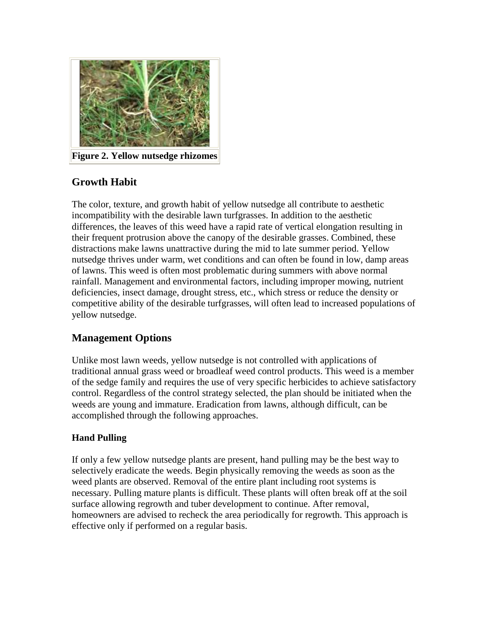

**Figure 2. Yellow nutsedge rhizomes** 

# **Growth Habit**

The color, texture, and growth habit of yellow nutsedge all contribute to aesthetic incompatibility with the desirable lawn turfgrasses. In addition to the aesthetic differences, the leaves of this weed have a rapid rate of vertical elongation resulting in their frequent protrusion above the canopy of the desirable grasses. Combined, these distractions make lawns unattractive during the mid to late summer period. Yellow nutsedge thrives under warm, wet conditions and can often be found in low, damp areas of lawns. This weed is often most problematic during summers with above normal rainfall. Management and environmental factors, including improper mowing, nutrient deficiencies, insect damage, drought stress, etc., which stress or reduce the density or competitive ability of the desirable turfgrasses, will often lead to increased populations of yellow nutsedge.

# **Management Options**

Unlike most lawn weeds, yellow nutsedge is not controlled with applications of traditional annual grass weed or broadleaf weed control products. This weed is a member of the sedge family and requires the use of very specific herbicides to achieve satisfactory control. Regardless of the control strategy selected, the plan should be initiated when the weeds are young and immature. Eradication from lawns, although difficult, can be accomplished through the following approaches.

# **Hand Pulling**

If only a few yellow nutsedge plants are present, hand pulling may be the best way to selectively eradicate the weeds. Begin physically removing the weeds as soon as the weed plants are observed. Removal of the entire plant including root systems is necessary. Pulling mature plants is difficult. These plants will often break off at the soil surface allowing regrowth and tuber development to continue. After removal, homeowners are advised to recheck the area periodically for regrowth. This approach is effective only if performed on a regular basis.